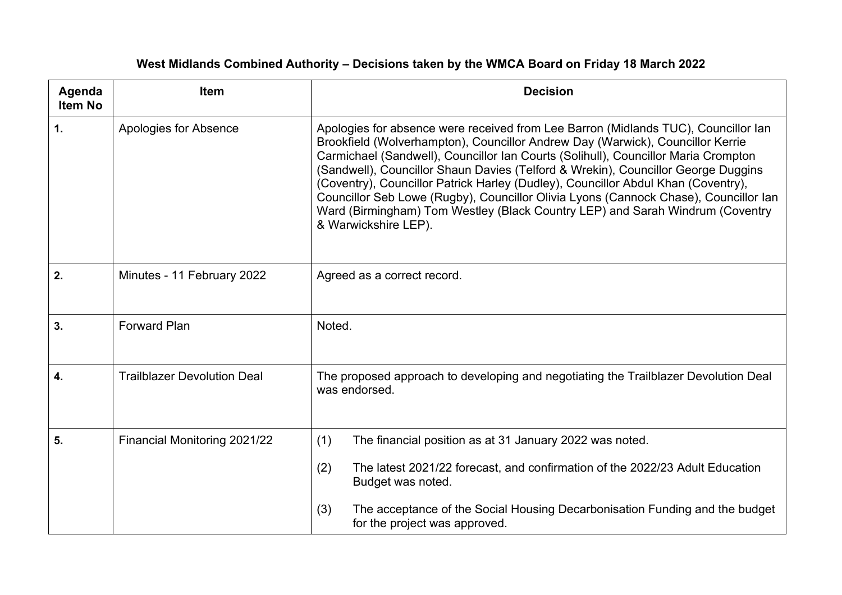| Agenda<br><b>Item No</b> | <b>Item</b>                        | <b>Decision</b>                                                                                                                                                                                                                                                                                                                                                                                                                                                                                                                                                                                                                       |
|--------------------------|------------------------------------|---------------------------------------------------------------------------------------------------------------------------------------------------------------------------------------------------------------------------------------------------------------------------------------------------------------------------------------------------------------------------------------------------------------------------------------------------------------------------------------------------------------------------------------------------------------------------------------------------------------------------------------|
| $\mathbf{1}$ .           | Apologies for Absence              | Apologies for absence were received from Lee Barron (Midlands TUC), Councillor lan<br>Brookfield (Wolverhampton), Councillor Andrew Day (Warwick), Councillor Kerrie<br>Carmichael (Sandwell), Councillor Ian Courts (Solihull), Councillor Maria Crompton<br>(Sandwell), Councillor Shaun Davies (Telford & Wrekin), Councillor George Duggins<br>(Coventry), Councillor Patrick Harley (Dudley), Councillor Abdul Khan (Coventry),<br>Councillor Seb Lowe (Rugby), Councillor Olivia Lyons (Cannock Chase), Councillor Ian<br>Ward (Birmingham) Tom Westley (Black Country LEP) and Sarah Windrum (Coventry<br>& Warwickshire LEP). |
| 2.                       | Minutes - 11 February 2022         | Agreed as a correct record.                                                                                                                                                                                                                                                                                                                                                                                                                                                                                                                                                                                                           |
| 3.                       | <b>Forward Plan</b>                | Noted.                                                                                                                                                                                                                                                                                                                                                                                                                                                                                                                                                                                                                                |
| 4.                       | <b>Trailblazer Devolution Deal</b> | The proposed approach to developing and negotiating the Trailblazer Devolution Deal<br>was endorsed.                                                                                                                                                                                                                                                                                                                                                                                                                                                                                                                                  |
| 5.                       | Financial Monitoring 2021/22       | (1)<br>The financial position as at 31 January 2022 was noted.                                                                                                                                                                                                                                                                                                                                                                                                                                                                                                                                                                        |
|                          |                                    | The latest 2021/22 forecast, and confirmation of the 2022/23 Adult Education<br>(2)<br>Budget was noted.                                                                                                                                                                                                                                                                                                                                                                                                                                                                                                                              |
|                          |                                    | The acceptance of the Social Housing Decarbonisation Funding and the budget<br>(3)<br>for the project was approved.                                                                                                                                                                                                                                                                                                                                                                                                                                                                                                                   |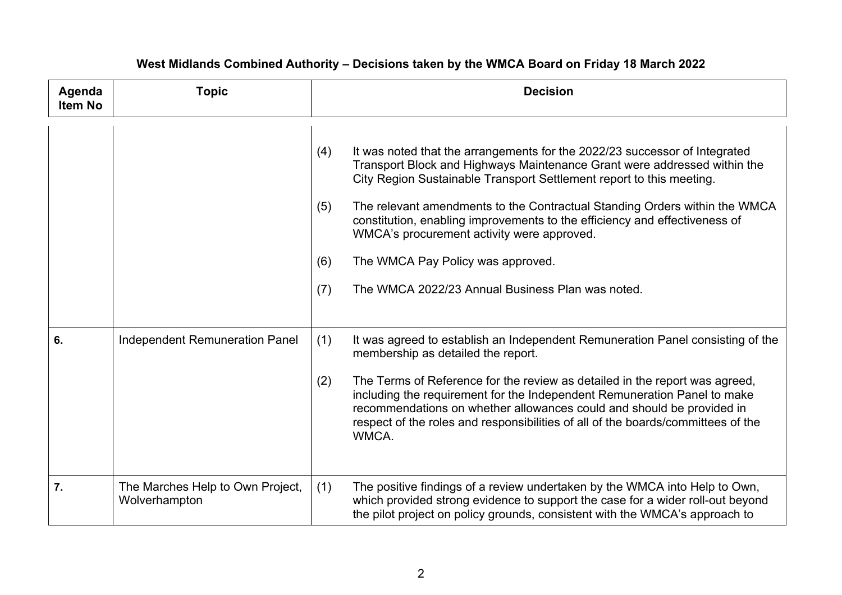| Agenda<br>Item No | <b>Topic</b>                                      | <b>Decision</b>                                                                                                                                                                                                                                                                                                                                                                                                                                                                                                                                               |
|-------------------|---------------------------------------------------|---------------------------------------------------------------------------------------------------------------------------------------------------------------------------------------------------------------------------------------------------------------------------------------------------------------------------------------------------------------------------------------------------------------------------------------------------------------------------------------------------------------------------------------------------------------|
|                   |                                                   | It was noted that the arrangements for the 2022/23 successor of Integrated<br>(4)<br>Transport Block and Highways Maintenance Grant were addressed within the<br>City Region Sustainable Transport Settlement report to this meeting.<br>The relevant amendments to the Contractual Standing Orders within the WMCA<br>(5)<br>constitution, enabling improvements to the efficiency and effectiveness of<br>WMCA's procurement activity were approved.<br>The WMCA Pay Policy was approved.<br>(6)<br>The WMCA 2022/23 Annual Business Plan was noted.<br>(7) |
| 6.                | Independent Remuneration Panel                    | (1)<br>It was agreed to establish an Independent Remuneration Panel consisting of the<br>membership as detailed the report.<br>The Terms of Reference for the review as detailed in the report was agreed,<br>(2)<br>including the requirement for the Independent Remuneration Panel to make<br>recommendations on whether allowances could and should be provided in<br>respect of the roles and responsibilities of all of the boards/committees of the<br>WMCA.                                                                                           |
| 7.                | The Marches Help to Own Project,<br>Wolverhampton | The positive findings of a review undertaken by the WMCA into Help to Own,<br>(1)<br>which provided strong evidence to support the case for a wider roll-out beyond<br>the pilot project on policy grounds, consistent with the WMCA's approach to                                                                                                                                                                                                                                                                                                            |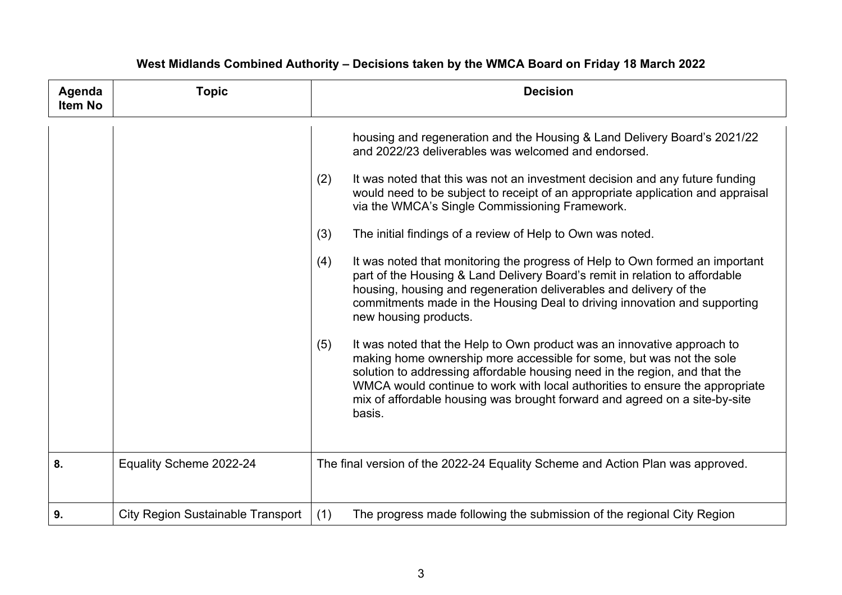| Agenda<br><b>Item No</b> | <b>Topic</b>                             | <b>Decision</b>                                                                                                                                                                                                                                                                                                                                                                                                                                                                                                                                                                                                                                                                                                                                                                                                                                                                                                                                                                                                                                                                                                                                                                                    |
|--------------------------|------------------------------------------|----------------------------------------------------------------------------------------------------------------------------------------------------------------------------------------------------------------------------------------------------------------------------------------------------------------------------------------------------------------------------------------------------------------------------------------------------------------------------------------------------------------------------------------------------------------------------------------------------------------------------------------------------------------------------------------------------------------------------------------------------------------------------------------------------------------------------------------------------------------------------------------------------------------------------------------------------------------------------------------------------------------------------------------------------------------------------------------------------------------------------------------------------------------------------------------------------|
|                          |                                          | housing and regeneration and the Housing & Land Delivery Board's 2021/22<br>and 2022/23 deliverables was welcomed and endorsed.<br>(2)<br>It was noted that this was not an investment decision and any future funding<br>would need to be subject to receipt of an appropriate application and appraisal<br>via the WMCA's Single Commissioning Framework.<br>(3)<br>The initial findings of a review of Help to Own was noted.<br>It was noted that monitoring the progress of Help to Own formed an important<br>(4)<br>part of the Housing & Land Delivery Board's remit in relation to affordable<br>housing, housing and regeneration deliverables and delivery of the<br>commitments made in the Housing Deal to driving innovation and supporting<br>new housing products.<br>It was noted that the Help to Own product was an innovative approach to<br>(5)<br>making home ownership more accessible for some, but was not the sole<br>solution to addressing affordable housing need in the region, and that the<br>WMCA would continue to work with local authorities to ensure the appropriate<br>mix of affordable housing was brought forward and agreed on a site-by-site<br>basis. |
| 8.                       | Equality Scheme 2022-24                  | The final version of the 2022-24 Equality Scheme and Action Plan was approved.                                                                                                                                                                                                                                                                                                                                                                                                                                                                                                                                                                                                                                                                                                                                                                                                                                                                                                                                                                                                                                                                                                                     |
| 9.                       | <b>City Region Sustainable Transport</b> | (1)<br>The progress made following the submission of the regional City Region                                                                                                                                                                                                                                                                                                                                                                                                                                                                                                                                                                                                                                                                                                                                                                                                                                                                                                                                                                                                                                                                                                                      |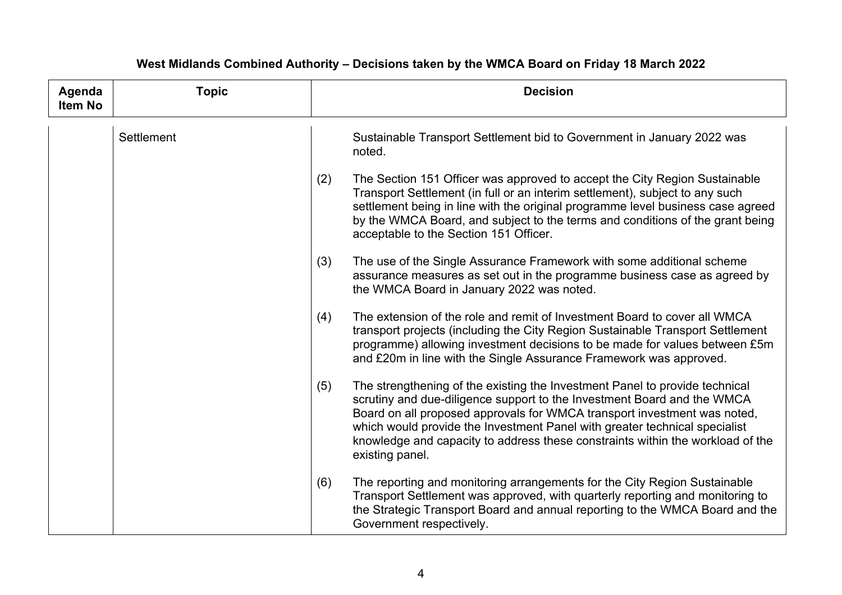| Agenda<br><b>Item No</b> | <b>Topic</b> | <b>Decision</b>                                                                                                                                                                                                                                                                                                                                                                                                              |
|--------------------------|--------------|------------------------------------------------------------------------------------------------------------------------------------------------------------------------------------------------------------------------------------------------------------------------------------------------------------------------------------------------------------------------------------------------------------------------------|
|                          | Settlement   | Sustainable Transport Settlement bid to Government in January 2022 was<br>noted.                                                                                                                                                                                                                                                                                                                                             |
|                          |              | The Section 151 Officer was approved to accept the City Region Sustainable<br>(2)<br>Transport Settlement (in full or an interim settlement), subject to any such<br>settlement being in line with the original programme level business case agreed<br>by the WMCA Board, and subject to the terms and conditions of the grant being<br>acceptable to the Section 151 Officer.                                              |
|                          |              | The use of the Single Assurance Framework with some additional scheme<br>(3)<br>assurance measures as set out in the programme business case as agreed by<br>the WMCA Board in January 2022 was noted.                                                                                                                                                                                                                       |
|                          |              | The extension of the role and remit of Investment Board to cover all WMCA<br>(4)<br>transport projects (including the City Region Sustainable Transport Settlement<br>programme) allowing investment decisions to be made for values between £5m<br>and £20m in line with the Single Assurance Framework was approved.                                                                                                       |
|                          |              | The strengthening of the existing the Investment Panel to provide technical<br>(5)<br>scrutiny and due-diligence support to the Investment Board and the WMCA<br>Board on all proposed approvals for WMCA transport investment was noted,<br>which would provide the Investment Panel with greater technical specialist<br>knowledge and capacity to address these constraints within the workload of the<br>existing panel. |
|                          |              | The reporting and monitoring arrangements for the City Region Sustainable<br>(6)<br>Transport Settlement was approved, with quarterly reporting and monitoring to<br>the Strategic Transport Board and annual reporting to the WMCA Board and the<br>Government respectively.                                                                                                                                                |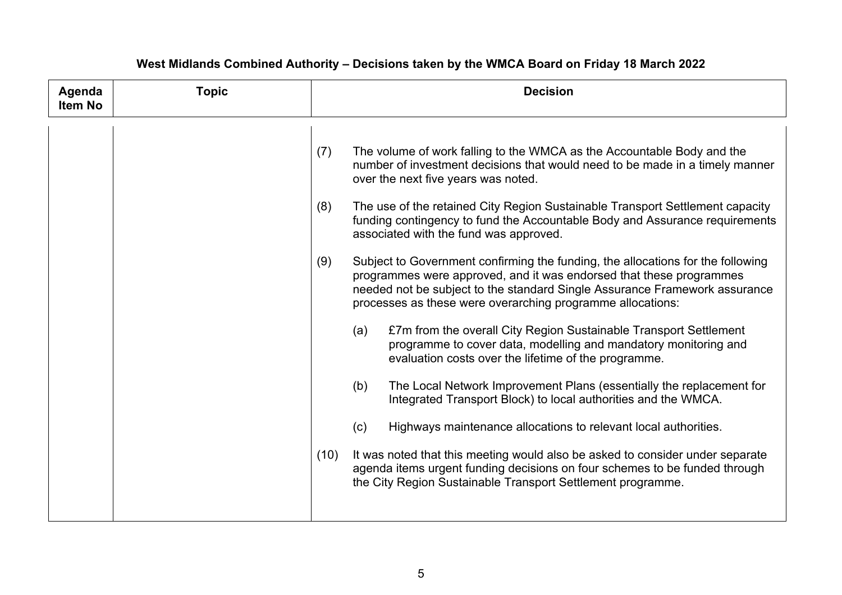| Agenda<br><b>Item No</b> | <b>Topic</b> | <b>Decision</b>                                                                                                                                                                                                                                                                                                                                                                                                                                                                                                                                                                                                                                                                                                                                                                                                                                                                                                                                                                                                                                                                                                                                                                                                                                                                                                                                                                                            |
|--------------------------|--------------|------------------------------------------------------------------------------------------------------------------------------------------------------------------------------------------------------------------------------------------------------------------------------------------------------------------------------------------------------------------------------------------------------------------------------------------------------------------------------------------------------------------------------------------------------------------------------------------------------------------------------------------------------------------------------------------------------------------------------------------------------------------------------------------------------------------------------------------------------------------------------------------------------------------------------------------------------------------------------------------------------------------------------------------------------------------------------------------------------------------------------------------------------------------------------------------------------------------------------------------------------------------------------------------------------------------------------------------------------------------------------------------------------------|
|                          |              | The volume of work falling to the WMCA as the Accountable Body and the<br>(7)<br>number of investment decisions that would need to be made in a timely manner<br>over the next five years was noted.<br>The use of the retained City Region Sustainable Transport Settlement capacity<br>(8)<br>funding contingency to fund the Accountable Body and Assurance requirements<br>associated with the fund was approved.<br>Subject to Government confirming the funding, the allocations for the following<br>(9)<br>programmes were approved, and it was endorsed that these programmes<br>needed not be subject to the standard Single Assurance Framework assurance<br>processes as these were overarching programme allocations:<br>£7m from the overall City Region Sustainable Transport Settlement<br>(a)<br>programme to cover data, modelling and mandatory monitoring and<br>evaluation costs over the lifetime of the programme.<br>(b)<br>The Local Network Improvement Plans (essentially the replacement for<br>Integrated Transport Block) to local authorities and the WMCA.<br>(c)<br>Highways maintenance allocations to relevant local authorities.<br>(10)<br>It was noted that this meeting would also be asked to consider under separate<br>agenda items urgent funding decisions on four schemes to be funded through<br>the City Region Sustainable Transport Settlement programme. |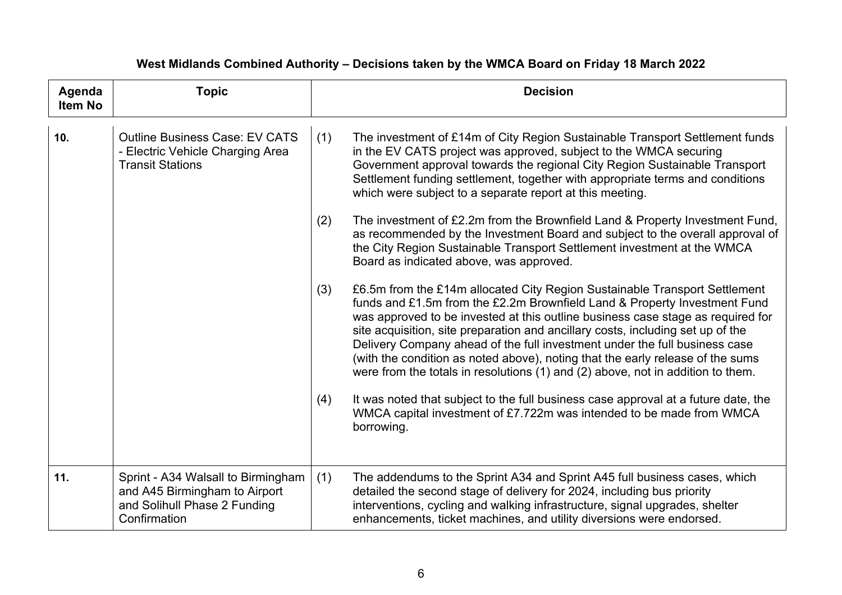| Agenda<br><b>Item No</b> | <b>Topic</b>                                                                                                        | <b>Decision</b>                                                                                                                                                                                                                                                                                                                                                                                                                                                                                                                                                                                                                                                                                                                                                                                                                                                                                                                                                                                                                                                                                                                                                                                                                                                                                                                                                                                                                                                 |
|--------------------------|---------------------------------------------------------------------------------------------------------------------|-----------------------------------------------------------------------------------------------------------------------------------------------------------------------------------------------------------------------------------------------------------------------------------------------------------------------------------------------------------------------------------------------------------------------------------------------------------------------------------------------------------------------------------------------------------------------------------------------------------------------------------------------------------------------------------------------------------------------------------------------------------------------------------------------------------------------------------------------------------------------------------------------------------------------------------------------------------------------------------------------------------------------------------------------------------------------------------------------------------------------------------------------------------------------------------------------------------------------------------------------------------------------------------------------------------------------------------------------------------------------------------------------------------------------------------------------------------------|
| 10.                      | <b>Outline Business Case: EV CATS</b><br>- Electric Vehicle Charging Area<br><b>Transit Stations</b>                | (1)<br>The investment of £14m of City Region Sustainable Transport Settlement funds<br>in the EV CATS project was approved, subject to the WMCA securing<br>Government approval towards the regional City Region Sustainable Transport<br>Settlement funding settlement, together with appropriate terms and conditions<br>which were subject to a separate report at this meeting.<br>(2)<br>The investment of £2.2m from the Brownfield Land & Property Investment Fund,<br>as recommended by the Investment Board and subject to the overall approval of<br>the City Region Sustainable Transport Settlement investment at the WMCA<br>Board as indicated above, was approved.<br>£6.5m from the £14m allocated City Region Sustainable Transport Settlement<br>(3)<br>funds and £1.5m from the £2.2m Brownfield Land & Property Investment Fund<br>was approved to be invested at this outline business case stage as required for<br>site acquisition, site preparation and ancillary costs, including set up of the<br>Delivery Company ahead of the full investment under the full business case<br>(with the condition as noted above), noting that the early release of the sums<br>were from the totals in resolutions (1) and (2) above, not in addition to them.<br>It was noted that subject to the full business case approval at a future date, the<br>(4)<br>WMCA capital investment of £7.722m was intended to be made from WMCA<br>borrowing. |
| 11.                      | Sprint - A34 Walsall to Birmingham<br>and A45 Birmingham to Airport<br>and Solihull Phase 2 Funding<br>Confirmation | (1)<br>The addendums to the Sprint A34 and Sprint A45 full business cases, which<br>detailed the second stage of delivery for 2024, including bus priority<br>interventions, cycling and walking infrastructure, signal upgrades, shelter<br>enhancements, ticket machines, and utility diversions were endorsed.                                                                                                                                                                                                                                                                                                                                                                                                                                                                                                                                                                                                                                                                                                                                                                                                                                                                                                                                                                                                                                                                                                                                               |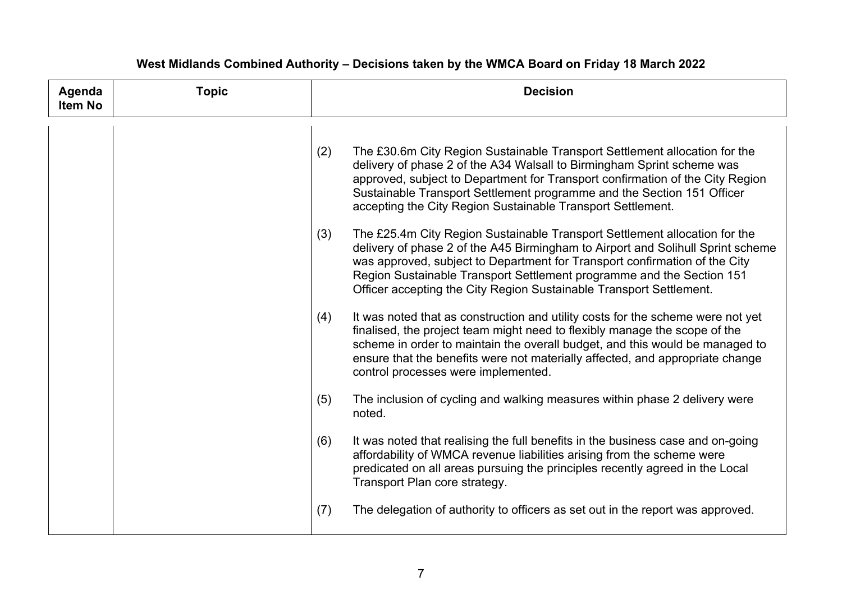| Agenda<br><b>Item No</b> | <b>Topic</b> | <b>Decision</b>                                                                                                                                                                                                                                                                                                                                                                                    |
|--------------------------|--------------|----------------------------------------------------------------------------------------------------------------------------------------------------------------------------------------------------------------------------------------------------------------------------------------------------------------------------------------------------------------------------------------------------|
|                          |              | (2)<br>The £30.6m City Region Sustainable Transport Settlement allocation for the<br>delivery of phase 2 of the A34 Walsall to Birmingham Sprint scheme was<br>approved, subject to Department for Transport confirmation of the City Region<br>Sustainable Transport Settlement programme and the Section 151 Officer<br>accepting the City Region Sustainable Transport Settlement.              |
|                          |              | The £25.4m City Region Sustainable Transport Settlement allocation for the<br>(3)<br>delivery of phase 2 of the A45 Birmingham to Airport and Solihull Sprint scheme<br>was approved, subject to Department for Transport confirmation of the City<br>Region Sustainable Transport Settlement programme and the Section 151<br>Officer accepting the City Region Sustainable Transport Settlement. |
|                          |              | It was noted that as construction and utility costs for the scheme were not yet<br>(4)<br>finalised, the project team might need to flexibly manage the scope of the<br>scheme in order to maintain the overall budget, and this would be managed to<br>ensure that the benefits were not materially affected, and appropriate change<br>control processes were implemented.                       |
|                          |              | The inclusion of cycling and walking measures within phase 2 delivery were<br>(5)<br>noted.                                                                                                                                                                                                                                                                                                        |
|                          |              | It was noted that realising the full benefits in the business case and on-going<br>(6)<br>affordability of WMCA revenue liabilities arising from the scheme were<br>predicated on all areas pursuing the principles recently agreed in the Local<br>Transport Plan core strategy.                                                                                                                  |
|                          |              | The delegation of authority to officers as set out in the report was approved.<br>(7)                                                                                                                                                                                                                                                                                                              |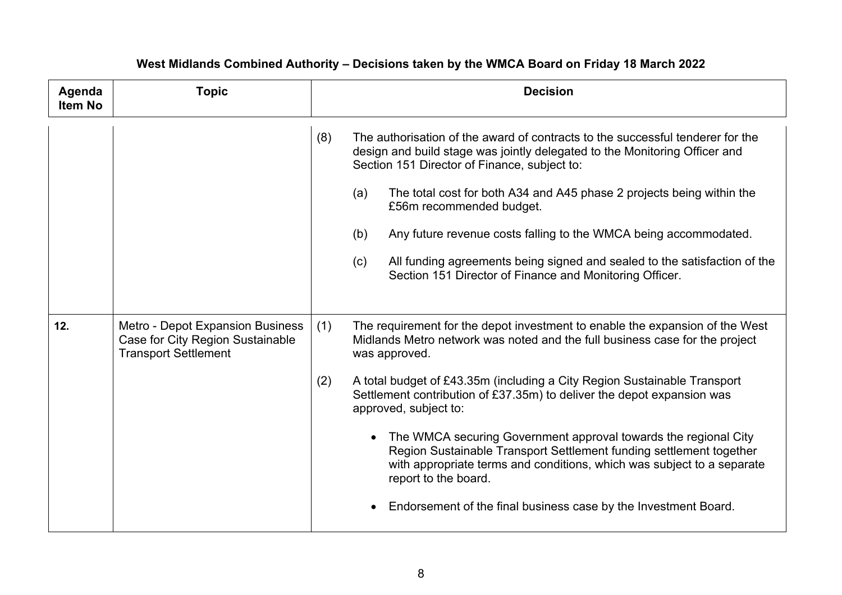| Agenda<br><b>Item No</b> | <b>Topic</b>                                                                                        | <b>Decision</b>                                                                                                                                                                                                                                                                                                                                                                                                                                                                                                                                                                                                                                                                                                                                                                                                                                                                                                                                                                                                                                                                                                                                                                                                                                         |
|--------------------------|-----------------------------------------------------------------------------------------------------|---------------------------------------------------------------------------------------------------------------------------------------------------------------------------------------------------------------------------------------------------------------------------------------------------------------------------------------------------------------------------------------------------------------------------------------------------------------------------------------------------------------------------------------------------------------------------------------------------------------------------------------------------------------------------------------------------------------------------------------------------------------------------------------------------------------------------------------------------------------------------------------------------------------------------------------------------------------------------------------------------------------------------------------------------------------------------------------------------------------------------------------------------------------------------------------------------------------------------------------------------------|
| 12.                      | Metro - Depot Expansion Business<br>Case for City Region Sustainable<br><b>Transport Settlement</b> | (8)<br>The authorisation of the award of contracts to the successful tenderer for the<br>design and build stage was jointly delegated to the Monitoring Officer and<br>Section 151 Director of Finance, subject to:<br>(a)<br>The total cost for both A34 and A45 phase 2 projects being within the<br>£56m recommended budget.<br>(b)<br>Any future revenue costs falling to the WMCA being accommodated.<br>All funding agreements being signed and sealed to the satisfaction of the<br>(c)<br>Section 151 Director of Finance and Monitoring Officer.<br>(1)<br>The requirement for the depot investment to enable the expansion of the West<br>Midlands Metro network was noted and the full business case for the project<br>was approved.<br>A total budget of £43.35m (including a City Region Sustainable Transport<br>(2)<br>Settlement contribution of £37.35m) to deliver the depot expansion was<br>approved, subject to:<br>The WMCA securing Government approval towards the regional City<br>Region Sustainable Transport Settlement funding settlement together<br>with appropriate terms and conditions, which was subject to a separate<br>report to the board.<br>• Endorsement of the final business case by the Investment Board. |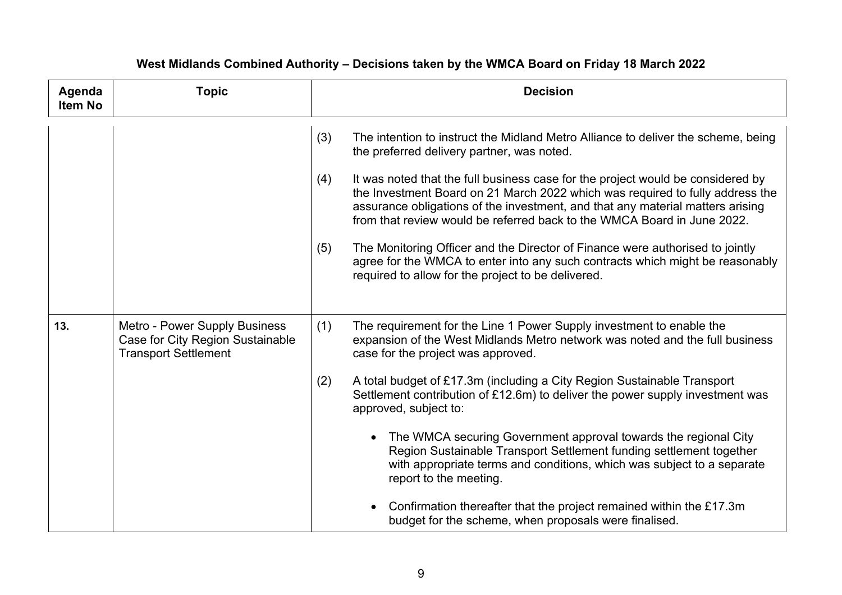| Agenda<br><b>Item No</b> | <b>Topic</b>                                                                                     | <b>Decision</b>                                                                                                                                                                                                                                                                                                                      |
|--------------------------|--------------------------------------------------------------------------------------------------|--------------------------------------------------------------------------------------------------------------------------------------------------------------------------------------------------------------------------------------------------------------------------------------------------------------------------------------|
|                          |                                                                                                  | (3)<br>The intention to instruct the Midland Metro Alliance to deliver the scheme, being<br>the preferred delivery partner, was noted.                                                                                                                                                                                               |
|                          |                                                                                                  | It was noted that the full business case for the project would be considered by<br>(4)<br>the Investment Board on 21 March 2022 which was required to fully address the<br>assurance obligations of the investment, and that any material matters arising<br>from that review would be referred back to the WMCA Board in June 2022. |
|                          |                                                                                                  | The Monitoring Officer and the Director of Finance were authorised to jointly<br>(5)<br>agree for the WMCA to enter into any such contracts which might be reasonably<br>required to allow for the project to be delivered.                                                                                                          |
| 13.                      | Metro - Power Supply Business<br>Case for City Region Sustainable<br><b>Transport Settlement</b> | (1)<br>The requirement for the Line 1 Power Supply investment to enable the<br>expansion of the West Midlands Metro network was noted and the full business<br>case for the project was approved.                                                                                                                                    |
|                          |                                                                                                  | A total budget of £17.3m (including a City Region Sustainable Transport<br>(2)<br>Settlement contribution of £12.6m) to deliver the power supply investment was<br>approved, subject to:                                                                                                                                             |
|                          |                                                                                                  | The WMCA securing Government approval towards the regional City<br>Region Sustainable Transport Settlement funding settlement together<br>with appropriate terms and conditions, which was subject to a separate<br>report to the meeting.                                                                                           |
|                          |                                                                                                  | Confirmation thereafter that the project remained within the £17.3m<br>budget for the scheme, when proposals were finalised.                                                                                                                                                                                                         |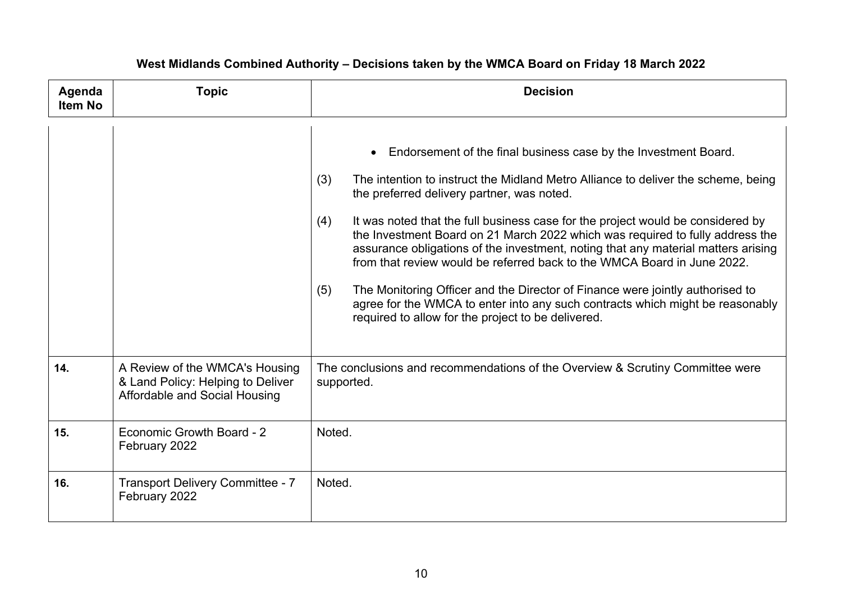| Agenda<br><b>Item No</b> | <b>Topic</b>                                                                                         | <b>Decision</b>                                                                                                                                                                                                                                                                                                                                                                                                                                                                                                                                                                                                                                                                                                                                                                       |
|--------------------------|------------------------------------------------------------------------------------------------------|---------------------------------------------------------------------------------------------------------------------------------------------------------------------------------------------------------------------------------------------------------------------------------------------------------------------------------------------------------------------------------------------------------------------------------------------------------------------------------------------------------------------------------------------------------------------------------------------------------------------------------------------------------------------------------------------------------------------------------------------------------------------------------------|
|                          |                                                                                                      | • Endorsement of the final business case by the Investment Board.<br>(3)<br>The intention to instruct the Midland Metro Alliance to deliver the scheme, being<br>the preferred delivery partner, was noted.<br>It was noted that the full business case for the project would be considered by<br>(4)<br>the Investment Board on 21 March 2022 which was required to fully address the<br>assurance obligations of the investment, noting that any material matters arising<br>from that review would be referred back to the WMCA Board in June 2022.<br>The Monitoring Officer and the Director of Finance were jointly authorised to<br>(5)<br>agree for the WMCA to enter into any such contracts which might be reasonably<br>required to allow for the project to be delivered. |
| 14.                      | A Review of the WMCA's Housing<br>& Land Policy: Helping to Deliver<br>Affordable and Social Housing | The conclusions and recommendations of the Overview & Scrutiny Committee were<br>supported.                                                                                                                                                                                                                                                                                                                                                                                                                                                                                                                                                                                                                                                                                           |
| 15.                      | Economic Growth Board - 2<br>February 2022                                                           | Noted.                                                                                                                                                                                                                                                                                                                                                                                                                                                                                                                                                                                                                                                                                                                                                                                |
| 16.                      | <b>Transport Delivery Committee - 7</b><br>February 2022                                             | Noted.                                                                                                                                                                                                                                                                                                                                                                                                                                                                                                                                                                                                                                                                                                                                                                                |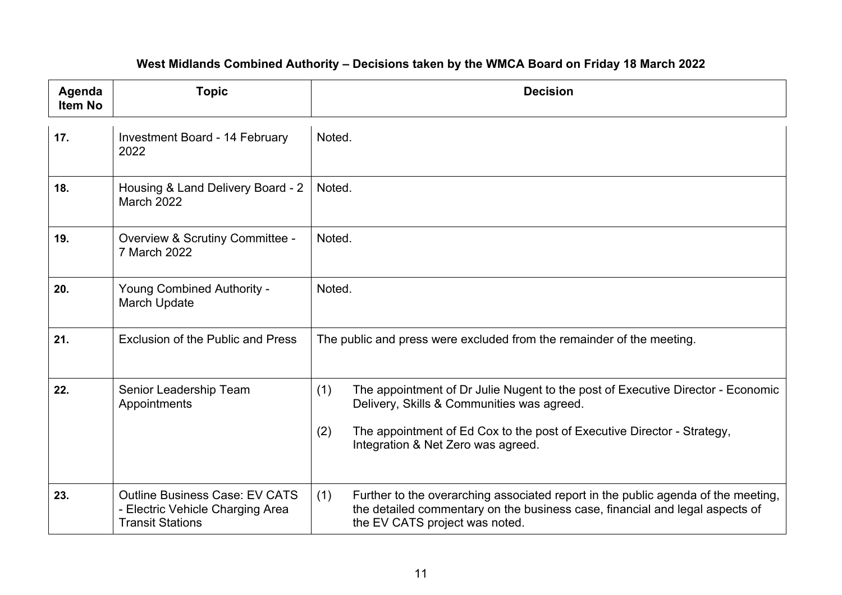| Agenda<br><b>Item No</b> | <b>Topic</b>                                                                                         | <b>Decision</b>                                                                                                                                                                                                                                              |
|--------------------------|------------------------------------------------------------------------------------------------------|--------------------------------------------------------------------------------------------------------------------------------------------------------------------------------------------------------------------------------------------------------------|
| 17.                      | Investment Board - 14 February<br>2022                                                               | Noted.                                                                                                                                                                                                                                                       |
| 18.                      | Housing & Land Delivery Board - 2<br><b>March 2022</b>                                               | Noted.                                                                                                                                                                                                                                                       |
| 19.                      | Overview & Scrutiny Committee -<br>7 March 2022                                                      | Noted.                                                                                                                                                                                                                                                       |
| 20.                      | <b>Young Combined Authority -</b><br>March Update                                                    | Noted.                                                                                                                                                                                                                                                       |
| 21.                      | Exclusion of the Public and Press                                                                    | The public and press were excluded from the remainder of the meeting.                                                                                                                                                                                        |
| 22.                      | Senior Leadership Team<br>Appointments                                                               | (1)<br>The appointment of Dr Julie Nugent to the post of Executive Director - Economic<br>Delivery, Skills & Communities was agreed.<br>(2)<br>The appointment of Ed Cox to the post of Executive Director - Strategy,<br>Integration & Net Zero was agreed. |
| 23.                      | <b>Outline Business Case: EV CATS</b><br>- Electric Vehicle Charging Area<br><b>Transit Stations</b> | Further to the overarching associated report in the public agenda of the meeting,<br>(1)<br>the detailed commentary on the business case, financial and legal aspects of<br>the EV CATS project was noted.                                                   |